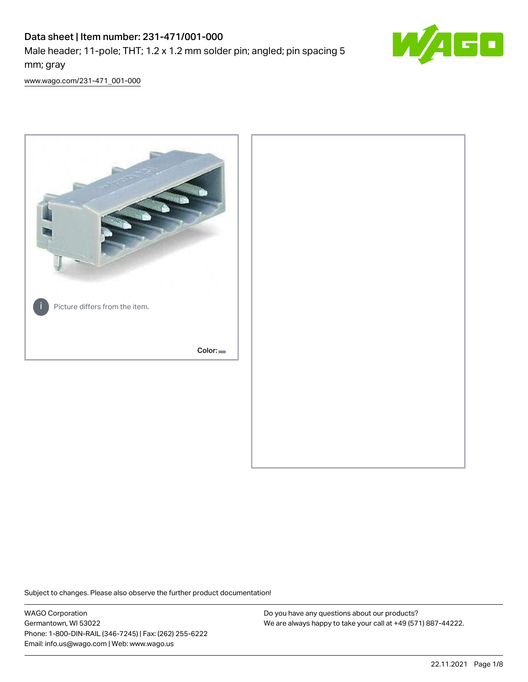# Data sheet | Item number: 231-471/001-000

Male header; 11-pole; THT; 1.2 x 1.2 mm solder pin; angled; pin spacing 5 mm; gray



[www.wago.com/231-471\\_001-000](http://www.wago.com/231-471_001-000)



Subject to changes. Please also observe the further product documentation!

WAGO Corporation Germantown, WI 53022 Phone: 1-800-DIN-RAIL (346-7245) | Fax: (262) 255-6222 Email: info.us@wago.com | Web: www.wago.us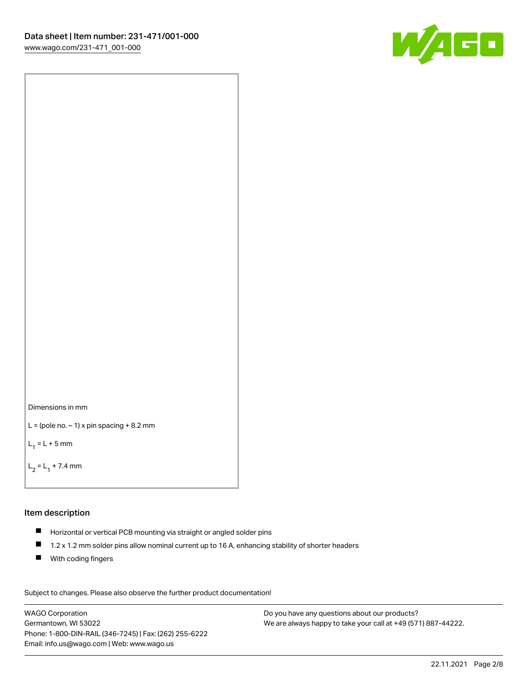



```
L = (pole no. -1) x pin spacing +8.2 mm
```
 $L_1 = L + 5$  mm

```
L_2 = L_1 + 7.4 mm
```
#### Item description

- Horizontal or vertical PCB mounting via straight or angled solder pins
- $\blacksquare$ 1.2 x 1.2 mm solder pins allow nominal current up to 16 A, enhancing stability of shorter headers
- **With coding fingers**

Subject to changes. Please also observe the further product documentation! Data

WAGO Corporation Germantown, WI 53022 Phone: 1-800-DIN-RAIL (346-7245) | Fax: (262) 255-6222 Email: info.us@wago.com | Web: www.wago.us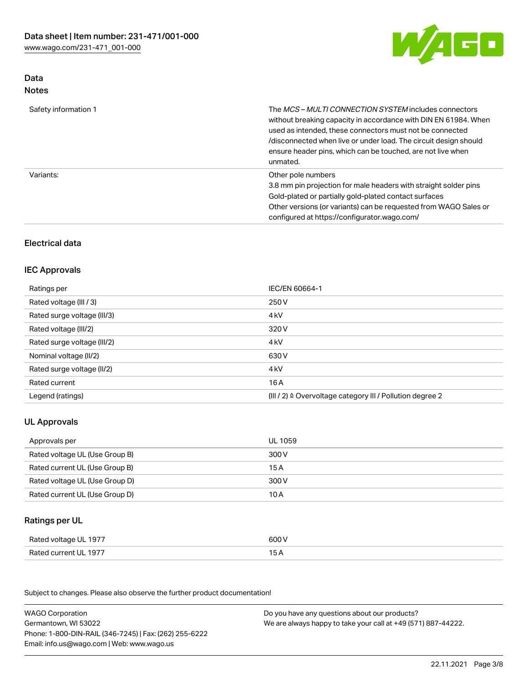

# Data Notes

| Safety information 1 | The <i>MCS – MULTI CONNECTION SYSTEM</i> includes connectors<br>without breaking capacity in accordance with DIN EN 61984. When<br>used as intended, these connectors must not be connected<br>/disconnected when live or under load. The circuit design should<br>ensure header pins, which can be touched, are not live when<br>unmated. |
|----------------------|--------------------------------------------------------------------------------------------------------------------------------------------------------------------------------------------------------------------------------------------------------------------------------------------------------------------------------------------|
| Variants:            | Other pole numbers<br>3.8 mm pin projection for male headers with straight solder pins<br>Gold-plated or partially gold-plated contact surfaces<br>Other versions (or variants) can be requested from WAGO Sales or<br>configured at https://configurator.wago.com/                                                                        |

# Electrical data

# IEC Approvals

| Ratings per                 | IEC/EN 60664-1                                                        |
|-----------------------------|-----------------------------------------------------------------------|
| Rated voltage (III / 3)     | 250 V                                                                 |
| Rated surge voltage (III/3) | 4 <sub>k</sub> V                                                      |
| Rated voltage (III/2)       | 320 V                                                                 |
| Rated surge voltage (III/2) | 4 <sub>k</sub> V                                                      |
| Nominal voltage (II/2)      | 630 V                                                                 |
| Rated surge voltage (II/2)  | 4 <sub>k</sub> V                                                      |
| Rated current               | 16 A                                                                  |
| Legend (ratings)            | $(III / 2)$ $\triangle$ Overvoltage category III / Pollution degree 2 |

# UL Approvals

| Approvals per                  | UL 1059 |
|--------------------------------|---------|
| Rated voltage UL (Use Group B) | 300 V   |
| Rated current UL (Use Group B) | 15 A    |
| Rated voltage UL (Use Group D) | 300 V   |
| Rated current UL (Use Group D) | 10 A    |

#### Ratings per UL

| Rated voltage UL 1977 | 600 V |
|-----------------------|-------|
| Rated current UL 1977 |       |

Subject to changes. Please also observe the further product documentation!

| <b>WAGO Corporation</b>                                | Do you have any questions about our products?                 |
|--------------------------------------------------------|---------------------------------------------------------------|
| Germantown, WI 53022                                   | We are always happy to take your call at +49 (571) 887-44222. |
| Phone: 1-800-DIN-RAIL (346-7245)   Fax: (262) 255-6222 |                                                               |
| Email: info.us@wago.com   Web: www.wago.us             |                                                               |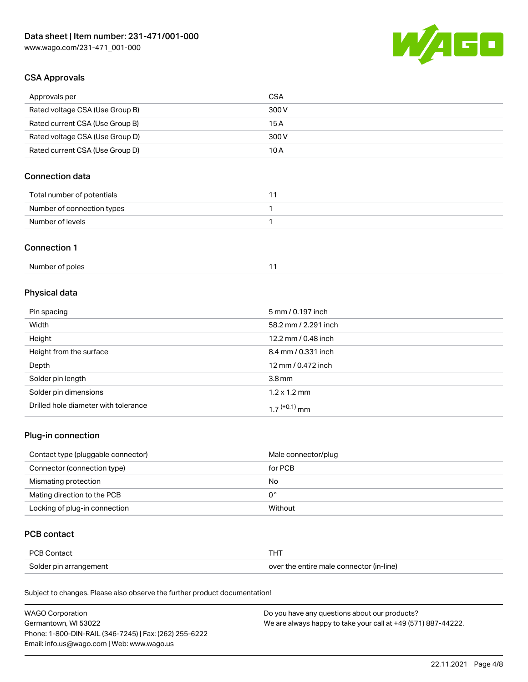

# CSA Approvals

| Approvals per                   | CSA   |
|---------------------------------|-------|
| Rated voltage CSA (Use Group B) | 300 V |
| Rated current CSA (Use Group B) | 15 A  |
| Rated voltage CSA (Use Group D) | 300 V |
| Rated current CSA (Use Group D) | 10 A  |

# Connection data

| Total number of potentials |  |
|----------------------------|--|
| Number of connection types |  |
| Number of levels           |  |

#### Connection 1

# Physical data

| Pin spacing                          | 5 mm / 0.197 inch    |
|--------------------------------------|----------------------|
| Width                                | 58.2 mm / 2.291 inch |
| Height                               | 12.2 mm / 0.48 inch  |
| Height from the surface              | 8.4 mm / 0.331 inch  |
| Depth                                | 12 mm / 0.472 inch   |
| Solder pin length                    | 3.8 <sub>mm</sub>    |
| Solder pin dimensions                | $1.2 \times 1.2$ mm  |
| Drilled hole diameter with tolerance | $17^{(+0.1)}$ mm     |

# Plug-in connection

| Contact type (pluggable connector) | Male connector/plug |
|------------------------------------|---------------------|
| Connector (connection type)        | for PCB             |
| Mismating protection               | No                  |
| Mating direction to the PCB        | 0°                  |
| Locking of plug-in connection      | Without             |

### PCB contact

| PCB Contact            |                                          |
|------------------------|------------------------------------------|
| Solder pin arrangement | over the entire male connector (in-line) |

Subject to changes. Please also observe the further product documentation!

| <b>WAGO Corporation</b>                                | Do you have any questions about our products?                 |
|--------------------------------------------------------|---------------------------------------------------------------|
| Germantown, WI 53022                                   | We are always happy to take your call at +49 (571) 887-44222. |
| Phone: 1-800-DIN-RAIL (346-7245)   Fax: (262) 255-6222 |                                                               |
| Email: info.us@wago.com   Web: www.wago.us             |                                                               |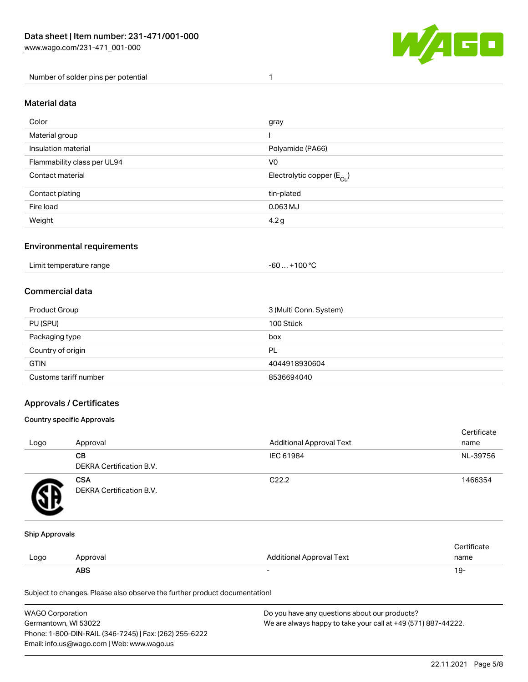

Number of solder pins per potential 1

#### Material data

| Color                       | gray                                  |
|-----------------------------|---------------------------------------|
| Material group              |                                       |
| Insulation material         | Polyamide (PA66)                      |
| Flammability class per UL94 | V <sub>0</sub>                        |
| Contact material            | Electrolytic copper $(E_{\text{Cl}})$ |
| Contact plating             | tin-plated                            |
| Fire load                   | 0.063 MJ                              |
| Weight                      | 4.2 <sub>g</sub>                      |

#### Environmental requirements

Limit temperature range  $-60... +100$  °C

#### Commercial data

| Product Group         | 3 (Multi Conn. System) |
|-----------------------|------------------------|
| PU (SPU)              | 100 Stück              |
| Packaging type        | box                    |
| Country of origin     | PL                     |
| <b>GTIN</b>           | 4044918930604          |
| Customs tariff number | 8536694040             |

#### Approvals / Certificates

#### Country specific Approvals

| Logo | Approval                               | <b>Additional Approval Text</b> | Certificate<br>name |
|------|----------------------------------------|---------------------------------|---------------------|
|      | <b>CB</b><br>DEKRA Certification B.V.  | IEC 61984                       | NL-39756            |
|      | <b>CSA</b><br>DEKRA Certification B.V. | C <sub>22.2</sub>               | 1466354             |

#### Ship Approvals

|      | ABS      | -                        | -91                    |
|------|----------|--------------------------|------------------------|
| Logo | Approval | Additional Approval Text | name                   |
|      |          |                          | $\cdot$<br>ੋ°rtificate |

Subject to changes. Please also observe the further product documentation!

| WAGO Corporation                                       | Do you have any questions about our products?                 |
|--------------------------------------------------------|---------------------------------------------------------------|
| Germantown, WI 53022                                   | We are always happy to take your call at +49 (571) 887-44222. |
| Phone: 1-800-DIN-RAIL (346-7245)   Fax: (262) 255-6222 |                                                               |
| Email: info.us@wago.com   Web: www.wago.us             |                                                               |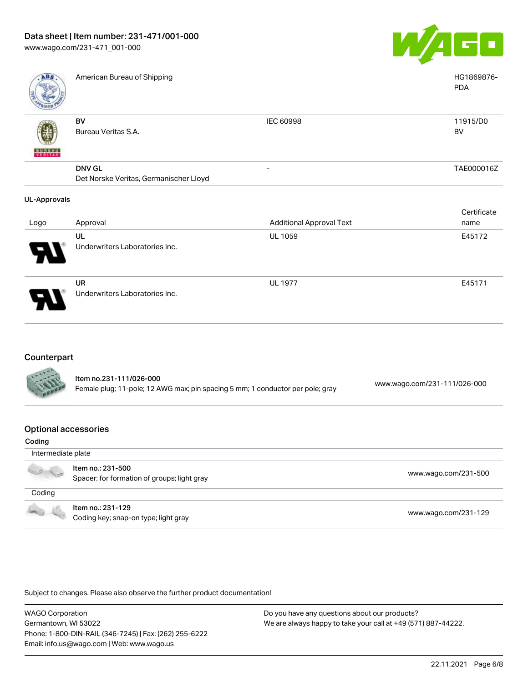

| <b>ABS</b>               | American Bureau of Shipping            |                                 | HG1869876-<br><b>PDA</b> |
|--------------------------|----------------------------------------|---------------------------------|--------------------------|
|                          | BV                                     | IEC 60998                       | 11915/D0                 |
|                          | Bureau Veritas S.A.                    |                                 | BV                       |
| <b>BUNEAU</b><br>VERITAS |                                        |                                 |                          |
|                          | <b>DNV GL</b>                          | $\overline{\phantom{a}}$        | TAE000016Z               |
|                          | Det Norske Veritas, Germanischer Lloyd |                                 |                          |
| <b>UL-Approvals</b>      |                                        |                                 |                          |
|                          |                                        |                                 | Certificate              |
| Logo                     | Approval                               | <b>Additional Approval Text</b> | name                     |
|                          | UL                                     | <b>UL 1059</b>                  | E45172                   |
|                          | Underwriters Laboratories Inc.         |                                 |                          |
|                          | UR                                     | <b>UL 1977</b>                  | E45171                   |
|                          | Underwriters Laboratories Inc.         |                                 |                          |

# Counterpart

| <b>CARL CARDS</b> | Item no.231-111/026-000<br>Female plug; 11-pole; 12 AWG max; pin spacing 5 mm; 1 conductor per pole; gray | www.wago.com/231-111/026-000 |
|-------------------|-----------------------------------------------------------------------------------------------------------|------------------------------|
|                   |                                                                                                           |                              |

#### Optional accessories

| Coding                   |                                                                  |                      |
|--------------------------|------------------------------------------------------------------|----------------------|
| Intermediate plate       |                                                                  |                      |
|                          | Item no.: 231-500<br>Spacer; for formation of groups; light gray | www.wago.com/231-500 |
| Coding                   |                                                                  |                      |
| <b>Contract Contract</b> | Item no.: 231-129<br>Coding key; snap-on type; light gray        | www.wago.com/231-129 |

Subject to changes. Please also observe the further product documentation!

WAGO Corporation Germantown, WI 53022 Phone: 1-800-DIN-RAIL (346-7245) | Fax: (262) 255-6222 Email: info.us@wago.com | Web: www.wago.us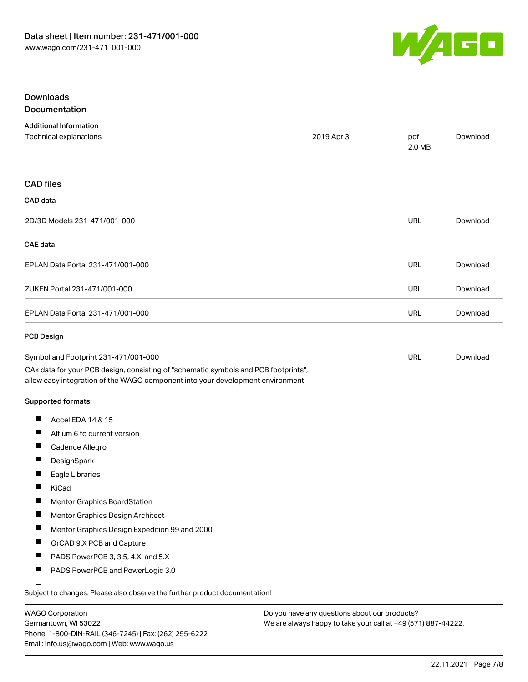

#### Downloads **Documentation**

| ----------------- |  |  |   |   |  |     |  |  |
|-------------------|--|--|---|---|--|-----|--|--|
|                   |  |  |   |   |  |     |  |  |
|                   |  |  | . | - |  | . . |  |  |

| <b>Additional Information</b><br>Technical explanations                                                                                                                                                                              | 2019 Apr 3 | pdf<br>2.0 MB | Download |
|--------------------------------------------------------------------------------------------------------------------------------------------------------------------------------------------------------------------------------------|------------|---------------|----------|
| <b>CAD</b> files                                                                                                                                                                                                                     |            |               |          |
| CAD data                                                                                                                                                                                                                             |            |               |          |
| 2D/3D Models 231-471/001-000                                                                                                                                                                                                         |            | <b>URL</b>    | Download |
| <b>CAE</b> data                                                                                                                                                                                                                      |            |               |          |
| EPLAN Data Portal 231-471/001-000                                                                                                                                                                                                    |            | <b>URL</b>    | Download |
| ZUKEN Portal 231-471/001-000                                                                                                                                                                                                         |            | URL           | Download |
| EPLAN Data Portal 231-471/001-000                                                                                                                                                                                                    |            | <b>URL</b>    | Download |
| <b>PCB Design</b>                                                                                                                                                                                                                    |            |               |          |
| Symbol and Footprint 231-471/001-000<br>CAx data for your PCB design, consisting of "schematic symbols and PCB footprints",<br>allow easy integration of the WAGO component into your development environment.<br>Supported formats: |            | URL           | Download |
| П<br>Accel EDA 14 & 15                                                                                                                                                                                                               |            |               |          |
| ш<br>Altium 6 to current version                                                                                                                                                                                                     |            |               |          |
| П<br>Cadence Allegro                                                                                                                                                                                                                 |            |               |          |
| DesignSpark<br>ш                                                                                                                                                                                                                     |            |               |          |
| $\overline{\phantom{a}}$<br>Eagle Libraries                                                                                                                                                                                          |            |               |          |
| П<br>KiCad                                                                                                                                                                                                                           |            |               |          |
| Mentor Graphics BoardStation                                                                                                                                                                                                         |            |               |          |
| ш<br>Mentor Graphics Design Architect                                                                                                                                                                                                |            |               |          |
| Mentor Graphics Design Expedition 99 and 2000<br>ш                                                                                                                                                                                   |            |               |          |
| OrCAD 9.X PCB and Capture                                                                                                                                                                                                            |            |               |          |
| $\blacksquare$<br>PADS PowerPCB 3, 3.5, 4.X, and 5.X                                                                                                                                                                                 |            |               |          |
| ш<br>PADS PowerPCB and PowerLogic 3.0                                                                                                                                                                                                |            |               |          |
| Subject to changes. Please also observe the further product documentation!                                                                                                                                                           |            |               |          |

WAGO Corporation Germantown, WI 53022 Phone: 1-800-DIN-RAIL (346-7245) | Fax: (262) 255-6222 Email: info.us@wago.com | Web: www.wago.us